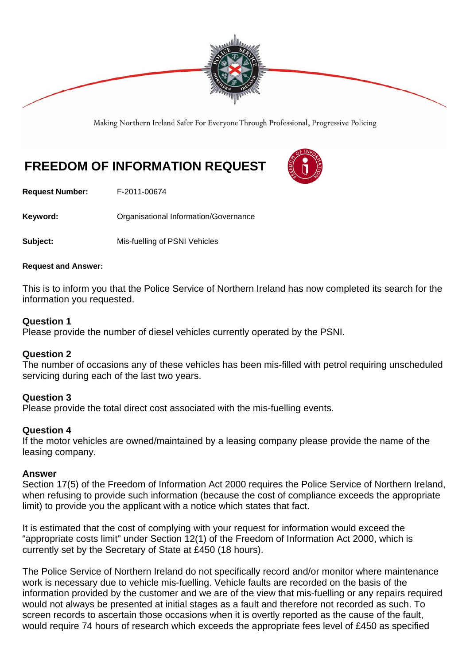

Making Northern Ireland Safer For Everyone Through Professional, Progressive Policing

# **FREEDOM OF INFORMATION REQUEST**

**Request Number:** F-2011-00674

**Keyword:** Organisational Information/Governance

**Subject:** Mis-fuelling of PSNI Vehicles

#### **Request and Answer:**

This is to inform you that the Police Service of Northern Ireland has now completed its search for the information you requested.

### **Question 1**

Please provide the number of diesel vehicles currently operated by the PSNI.

## **Question 2**

The number of occasions any of these vehicles has been mis-filled with petrol requiring unscheduled servicing during each of the last two years.

## **Question 3**

Please provide the total direct cost associated with the mis-fuelling events.

#### **Question 4**

If the motor vehicles are owned/maintained by a leasing company please provide the name of the leasing company.

#### **Answer**

Section 17(5) of the Freedom of Information Act 2000 requires the Police Service of Northern Ireland, when refusing to provide such information (because the cost of compliance exceeds the appropriate limit) to provide you the applicant with a notice which states that fact.

It is estimated that the cost of complying with your request for information would exceed the "appropriate costs limit" under Section 12(1) of the Freedom of Information Act 2000, which is currently set by the Secretary of State at £450 (18 hours).

The Police Service of Northern Ireland do not specifically record and/or monitor where maintenance work is necessary due to vehicle mis-fuelling. Vehicle faults are recorded on the basis of the information provided by the customer and we are of the view that mis-fuelling or any repairs required would not always be presented at initial stages as a fault and therefore not recorded as such. To screen records to ascertain those occasions when it is overtly reported as the cause of the fault, would require 74 hours of research which exceeds the appropriate fees level of £450 as specified